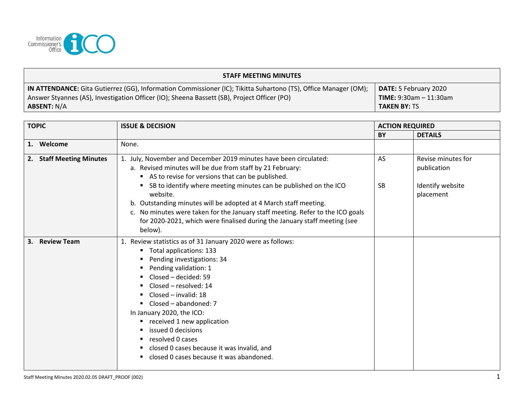

| <b>STAFF MEETING MINUTES</b>                                                                                    |                                 |  |  |  |  |
|-----------------------------------------------------------------------------------------------------------------|---------------------------------|--|--|--|--|
| IN ATTENDANCE: Gita Gutierrez (GG), Information Commissioner (IC); Tikitta Suhartono (TS), Office Manager (OM); | <b>DATE:</b> 5 February 2020    |  |  |  |  |
| Answer Styannes (AS), Investigation Officer (IO); Sheena Bassett (SB), Project Officer (PO)                     | <b>TIME:</b> $9:30am - 11:30am$ |  |  |  |  |
| <b>ABSENT: N/A</b>                                                                                              | <b>TAKEN BY: TS</b>             |  |  |  |  |

| <b>TOPIC</b> |                          | <b>ISSUE &amp; DECISION</b>                                                                                                                                                                                                                                                                                                                                                                                                                                                                                           | <b>ACTION REQUIRED</b> |                                                                    |
|--------------|--------------------------|-----------------------------------------------------------------------------------------------------------------------------------------------------------------------------------------------------------------------------------------------------------------------------------------------------------------------------------------------------------------------------------------------------------------------------------------------------------------------------------------------------------------------|------------------------|--------------------------------------------------------------------|
|              |                          |                                                                                                                                                                                                                                                                                                                                                                                                                                                                                                                       | BY                     | <b>DETAILS</b>                                                     |
|              | 1. Welcome               | None.                                                                                                                                                                                                                                                                                                                                                                                                                                                                                                                 |                        |                                                                    |
|              | 2. Staff Meeting Minutes | 1. July, November and December 2019 minutes have been circulated:<br>a. Revised minutes will be due from staff by 21 February:<br>AS to revise for versions that can be published.<br>SB to identify where meeting minutes can be published on the ICO<br>٠<br>website.<br>b. Outstanding minutes will be adopted at 4 March staff meeting.<br>c. No minutes were taken for the January staff meeting. Refer to the ICO goals<br>for 2020-2021, which were finalised during the January staff meeting (see<br>below). | AS<br><b>SB</b>        | Revise minutes for<br>publication<br>Identify website<br>placement |
| 3.           | <b>Review Team</b>       | 1. Review statistics as of 31 January 2020 were as follows:<br>Total applications: 133<br>п.<br>Pending investigations: 34<br>п<br>Pending validation: 1<br>Closed - decided: 59<br>Closed - resolved: 14<br>Closed - invalid: 18<br>Closed – abandoned: 7<br>In January 2020, the ICO:<br>received 1 new application<br>٠<br>issued 0 decisions<br>resolved 0 cases<br>closed 0 cases because it was invalid, and<br>closed 0 cases because it was abandoned.                                                        |                        |                                                                    |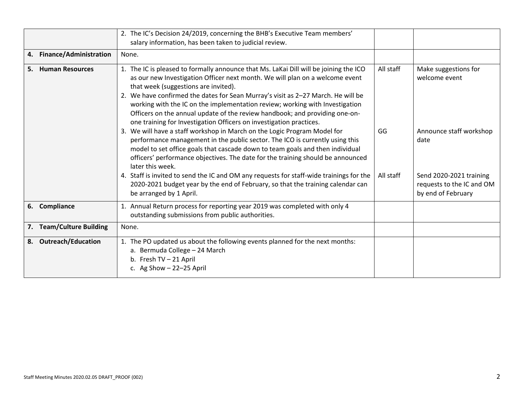|                                     | 2. The IC's Decision 24/2019, concerning the BHB's Executive Team members'<br>salary information, has been taken to judicial review.                                                                                                                                                                                                                                                                                                                                                                                                    |           |                                                                            |
|-------------------------------------|-----------------------------------------------------------------------------------------------------------------------------------------------------------------------------------------------------------------------------------------------------------------------------------------------------------------------------------------------------------------------------------------------------------------------------------------------------------------------------------------------------------------------------------------|-----------|----------------------------------------------------------------------------|
| <b>Finance/Administration</b><br>4. | None.                                                                                                                                                                                                                                                                                                                                                                                                                                                                                                                                   |           |                                                                            |
| <b>Human Resources</b><br>5.        | 1. The IC is pleased to formally announce that Ms. LaKai Dill will be joining the ICO<br>as our new Investigation Officer next month. We will plan on a welcome event<br>that week (suggestions are invited).<br>2. We have confirmed the dates for Sean Murray's visit as 2-27 March. He will be<br>working with the IC on the implementation review; working with Investigation<br>Officers on the annual update of the review handbook; and providing one-on-<br>one training for Investigation Officers on investigation practices. | All staff | Make suggestions for<br>welcome event                                      |
|                                     | 3. We will have a staff workshop in March on the Logic Program Model for<br>performance management in the public sector. The ICO is currently using this<br>model to set office goals that cascade down to team goals and then individual<br>officers' performance objectives. The date for the training should be announced<br>later this week.                                                                                                                                                                                        | GG        | Announce staff workshop<br>date                                            |
|                                     | 4. Staff is invited to send the IC and OM any requests for staff-wide trainings for the<br>2020-2021 budget year by the end of February, so that the training calendar can<br>be arranged by 1 April.                                                                                                                                                                                                                                                                                                                                   | All staff | Send 2020-2021 training<br>requests to the IC and OM<br>by end of February |
| Compliance<br>6.                    | 1. Annual Return process for reporting year 2019 was completed with only 4<br>outstanding submissions from public authorities.                                                                                                                                                                                                                                                                                                                                                                                                          |           |                                                                            |
| <b>Team/Culture Building</b><br>7.  | None.                                                                                                                                                                                                                                                                                                                                                                                                                                                                                                                                   |           |                                                                            |
| <b>Outreach/Education</b><br>8.     | 1. The PO updated us about the following events planned for the next months:<br>a. Bermuda College - 24 March<br>b. Fresh TV - 21 April<br>c. Ag Show $-22-25$ April                                                                                                                                                                                                                                                                                                                                                                    |           |                                                                            |